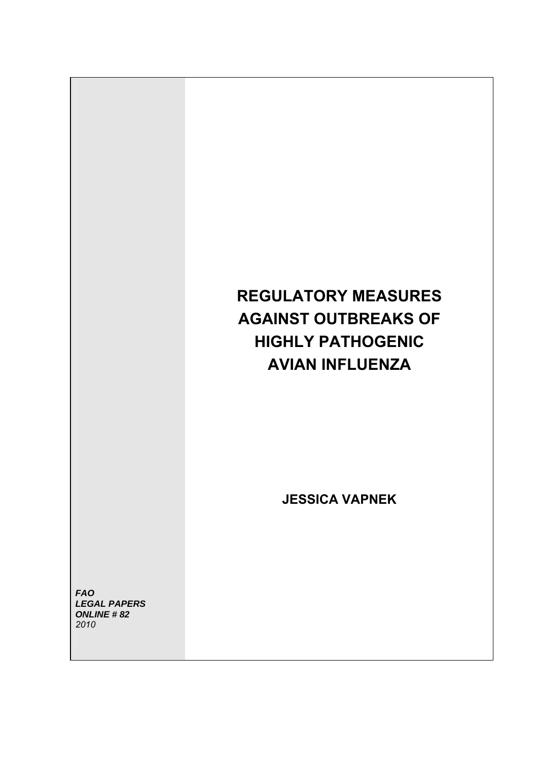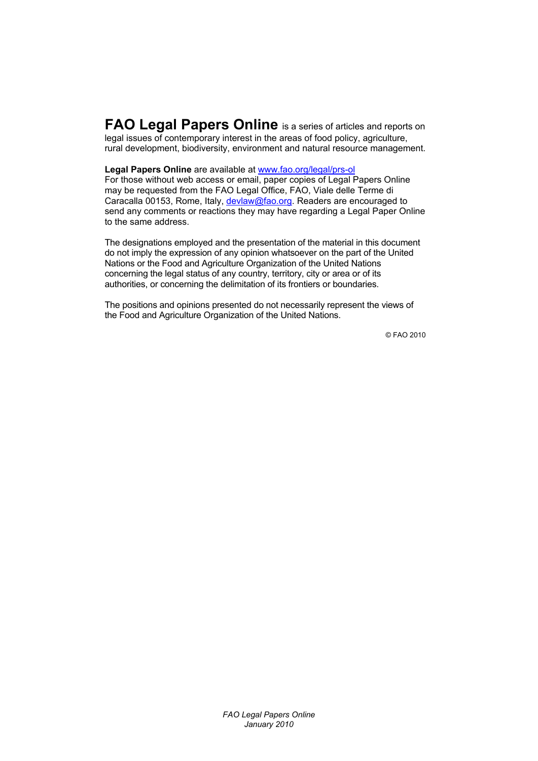**FAO Legal Papers Online** is a series of articles and reports on legal issues of contemporary interest in the areas of food policy, agriculture, rural development, biodiversity, environment and natural resource management.

**Legal Papers Online** are available at www.fao.org/legal/prs-ol

For those without web access or email, paper copies of Legal Papers Online may be requested from the FAO Legal Office, FAO, Viale delle Terme di Caracalla 00153, Rome, Italy, devlaw@fao.org. Readers are encouraged to send any comments or reactions they may have regarding a Legal Paper Online to the same address.

The designations employed and the presentation of the material in this document do not imply the expression of any opinion whatsoever on the part of the United Nations or the Food and Agriculture Organization of the United Nations concerning the legal status of any country, territory, city or area or of its authorities, or concerning the delimitation of its frontiers or boundaries.

The positions and opinions presented do not necessarily represent the views of the Food and Agriculture Organization of the United Nations.

© FAO 2010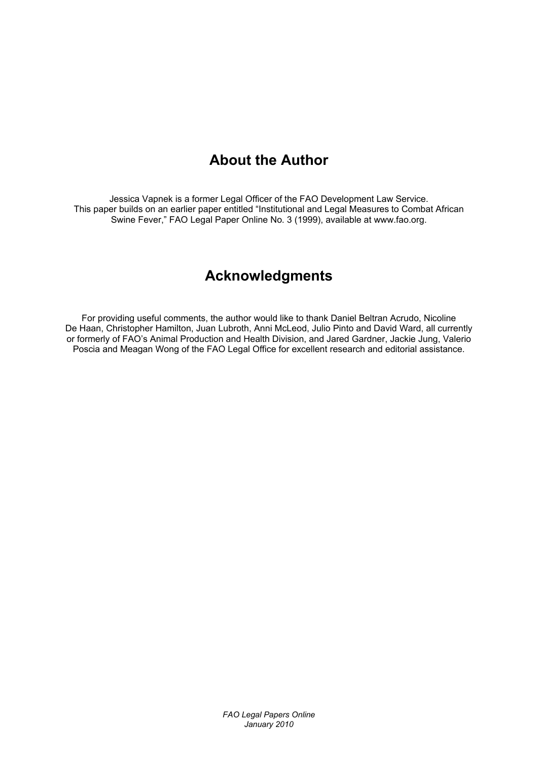# **About the Author**

Jessica Vapnek is a former Legal Officer of the FAO Development Law Service. This paper builds on an earlier paper entitled "Institutional and Legal Measures to Combat African Swine Fever," FAO Legal Paper Online No. 3 (1999), available at www.fao.org.

# **Acknowledgments**

For providing useful comments, the author would like to thank Daniel Beltran Acrudo, Nicoline De Haan, Christopher Hamilton, Juan Lubroth, Anni McLeod, Julio Pinto and David Ward, all currently or formerly of FAO's Animal Production and Health Division, and Jared Gardner, Jackie Jung, Valerio Poscia and Meagan Wong of the FAO Legal Office for excellent research and editorial assistance.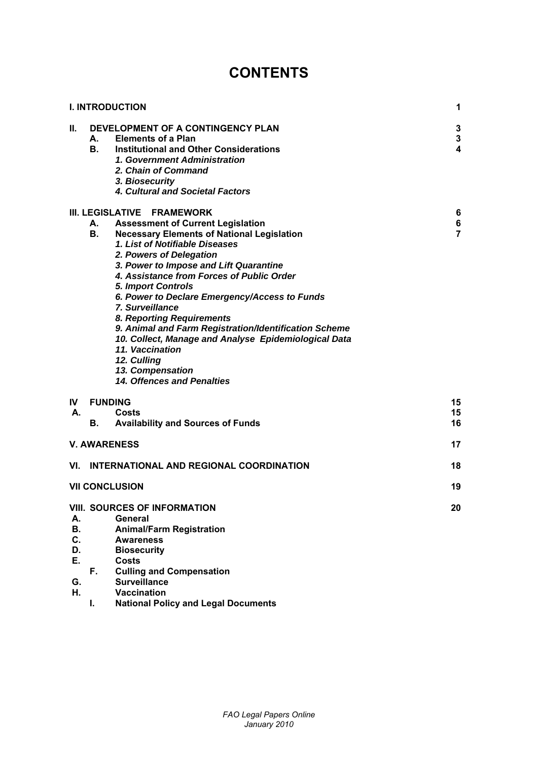# **CONTENTS**

|                                        |                 | <b>I. INTRODUCTION</b>                                                                                                                                                                                                                                                                                                                                                                                                                                                                                                                                                                                             | 1                                            |
|----------------------------------------|-----------------|--------------------------------------------------------------------------------------------------------------------------------------------------------------------------------------------------------------------------------------------------------------------------------------------------------------------------------------------------------------------------------------------------------------------------------------------------------------------------------------------------------------------------------------------------------------------------------------------------------------------|----------------------------------------------|
| П.                                     | А.<br><b>B.</b> | DEVELOPMENT OF A CONTINGENCY PLAN<br><b>Elements of a Plan</b><br>Institutional and Other Considerations<br>1. Government Administration<br>2. Chain of Command<br>3. Biosecurity<br>4. Cultural and Societal Factors                                                                                                                                                                                                                                                                                                                                                                                              | 3<br>$\mathbf 3$<br>$\overline{\mathbf{4}}$  |
|                                        | А.<br><b>B.</b> | III. LEGISLATIVE FRAMEWORK<br><b>Assessment of Current Legislation</b><br><b>Necessary Elements of National Legislation</b><br>1. List of Notifiable Diseases<br>2. Powers of Delegation<br>3. Power to Impose and Lift Quarantine<br>4. Assistance from Forces of Public Order<br>5. Import Controls<br>6. Power to Declare Emergency/Access to Funds<br>7. Surveillance<br>8. Reporting Requirements<br>9. Animal and Farm Registration/Identification Scheme<br>10. Collect, Manage and Analyse Epidemiological Data<br>11. Vaccination<br>12. Culling<br>13. Compensation<br><b>14. Offences and Penalties</b> | $6\phantom{1}6$<br>$\bf 6$<br>$\overline{7}$ |
| IV I<br>А.                             | В.              | <b>FUNDING</b><br>Costs<br><b>Availability and Sources of Funds</b>                                                                                                                                                                                                                                                                                                                                                                                                                                                                                                                                                | 15<br>15<br>16                               |
|                                        |                 | <b>V. AWARENESS</b>                                                                                                                                                                                                                                                                                                                                                                                                                                                                                                                                                                                                | 17                                           |
|                                        |                 | VI. INTERNATIONAL AND REGIONAL COORDINATION                                                                                                                                                                                                                                                                                                                                                                                                                                                                                                                                                                        | 18                                           |
|                                        |                 | <b>VII CONCLUSION</b>                                                                                                                                                                                                                                                                                                                                                                                                                                                                                                                                                                                              | 19                                           |
| А.<br>В.<br>C.<br>D.<br>Е.<br>G.<br>Н. | Е.,             | VIII. SOURCES OF INFORMATION<br><b>General</b><br><b>Animal/Farm Registration</b><br><b>Awareness</b><br><b>Biosecurity</b><br><b>Costs</b><br><b>Culling and Compensation</b><br><b>Surveillance</b><br><b>Vaccination</b>                                                                                                                                                                                                                                                                                                                                                                                        | 20                                           |
|                                        | I.              | <b>National Policy and Legal Documents</b>                                                                                                                                                                                                                                                                                                                                                                                                                                                                                                                                                                         |                                              |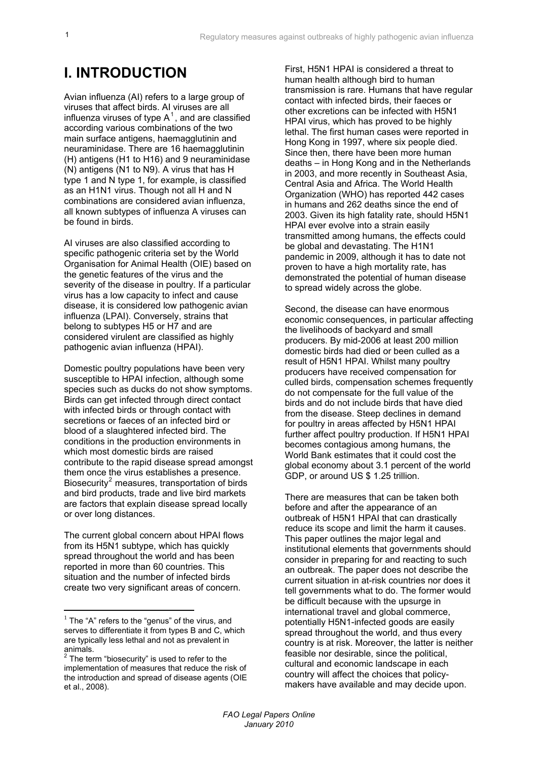# **I. INTRODUCTION**

Avian influenza (AI) refers to a large group of viruses that affect birds. AI viruses are all influenza viruses of type  $A^1$ , and are classified according various combinations of the two main surface antigens, haemagglutinin and neuraminidase. There are 16 haemagglutinin (H) antigens (H1 to H16) and 9 neuraminidase (N) antigens (N1 to N9). A virus that has H type 1 and N type 1, for example, is classified as an H1N1 virus. Though not all H and N combinations are considered avian influenza, all known subtypes of influenza A viruses can be found in birds.

AI viruses are also classified according to specific pathogenic criteria set by the World Organisation for Animal Health (OIE) based on the genetic features of the virus and the severity of the disease in poultry. If a particular virus has a low capacity to infect and cause disease, it is considered low pathogenic avian influenza (LPAI). Conversely, strains that belong to subtypes H5 or H7 and are considered virulent are classified as highly pathogenic avian influenza (HPAI).

Domestic poultry populations have been very susceptible to HPAI infection, although some species such as ducks do not show symptoms. Birds can get infected through direct contact with infected birds or through contact with secretions or faeces of an infected bird or blood of a slaughtered infected bird. The conditions in the production environments in which most domestic birds are raised contribute to the rapid disease spread amongst them once the virus establishes a presence. Biosecurity<sup>[2](#page-4-0)</sup> measures, transportation of birds and bird products, trade and live bird markets are factors that explain disease spread locally or over long distances.

The current global concern about HPAI flows from its H5N1 subtype, which has quickly spread throughout the world and has been reported in more than 60 countries. This situation and the number of infected birds create two very significant areas of concern.

<u>.</u>

First, H5N1 HPAI is considered a threat to human health although bird to human transmission is rare. Humans that have regular contact with infected birds, their faeces or other excretions can be infected with H5N1 HPAI virus, which has proved to be highly lethal. The first human cases were reported in Hong Kong in 1997, where six people died. Since then, there have been more human deaths – in Hong Kong and in the Netherlands in 2003, and more recently in Southeast Asia, Central Asia and Africa. The World Health Organization (WHO) has reported 442 cases in humans and 262 deaths since the end of 2003. Given its high fatality rate, should H5N1 HPAI ever evolve into a strain easily transmitted among humans, the effects could be global and devastating. The H1N1 pandemic in 2009, although it has to date not proven to have a high mortality rate, has demonstrated the potential of human disease to spread widely across the globe.

Second, the disease can have enormous economic consequences, in particular affecting the livelihoods of backyard and small producers. By mid-2006 at least 200 million domestic birds had died or been culled as a result of H5N1 HPAI. Whilst many poultry producers have received compensation for culled birds, compensation schemes frequently do not compensate for the full value of the birds and do not include birds that have died from the disease. Steep declines in demand for poultry in areas affected by H5N1 HPAI further affect poultry production. If H5N1 HPAI becomes contagious among humans, the World Bank estimates that it could cost the global economy about 3.1 percent of the world GDP, or around US \$ 1.25 trillion.

There are measures that can be taken both before and after the appearance of an outbreak of H5N1 HPAI that can drastically reduce its scope and limit the harm it causes. This paper outlines the major legal and institutional elements that governments should consider in preparing for and reacting to such an outbreak. The paper does not describe the current situation in at-risk countries nor does it tell governments what to do. The former would be difficult because with the upsurge in international travel and global commerce, potentially H5N1-infected goods are easily spread throughout the world, and thus every country is at risk. Moreover, the latter is neither feasible nor desirable, since the political, cultural and economic landscape in each country will affect the choices that policymakers have available and may decide upon.

 $1$  The "A" refers to the "genus" of the virus, and serves to differentiate it from types B and C, which are typically less lethal and not as prevalent in

<span id="page-4-0"></span>animals.<br><sup>2</sup> The term "biosecurity" is used to refer to the implementation of measures that reduce the risk of the introduction and spread of disease agents (OIE et al., 2008).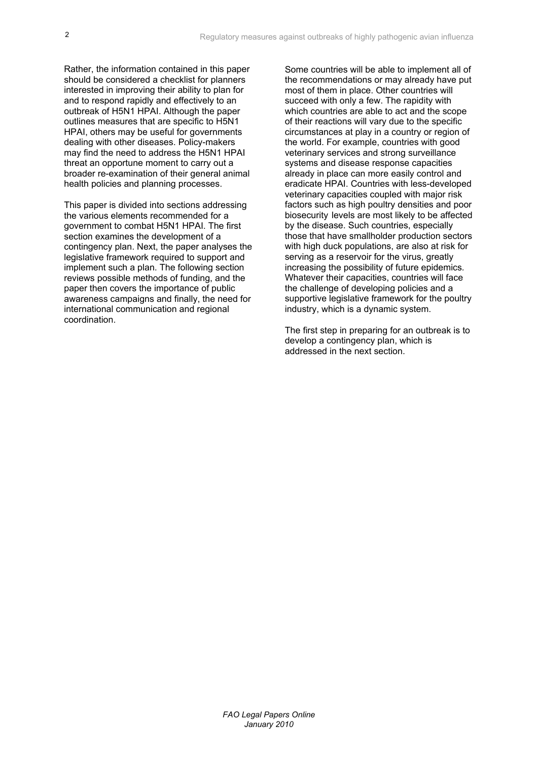Rather, the information contained in this paper should be considered a checklist for planners interested in improving their ability to plan for and to respond rapidly and effectively to an outbreak of H5N1 HPAI. Although the paper outlines measures that are specific to H5N1 HPAI, others may be useful for governments dealing with other diseases. Policy-makers may find the need to address the H5N1 HPAI threat an opportune moment to carry out a broader re-examination of their general animal health policies and planning processes.

This paper is divided into sections addressing the various elements recommended for a government to combat H5N1 HPAI. The first section examines the development of a contingency plan. Next, the paper analyses the legislative framework required to support and implement such a plan. The following section reviews possible methods of funding, and the paper then covers the importance of public awareness campaigns and finally, the need for international communication and regional coordination.

Some countries will be able to implement all of the recommendations or may already have put most of them in place. Other countries will succeed with only a few. The rapidity with which countries are able to act and the scope of their reactions will vary due to the specific circumstances at play in a country or region of the world. For example, countries with good veterinary services and strong surveillance systems and disease response capacities already in place can more easily control and eradicate HPAI. Countries with less-developed veterinary capacities coupled with major risk factors such as high poultry densities and poor biosecurity levels are most likely to be affected by the disease. Such countries, especially those that have smallholder production sectors with high duck populations, are also at risk for serving as a reservoir for the virus, greatly increasing the possibility of future epidemics*.* Whatever their capacities, countries will face the challenge of developing policies and a supportive legislative framework for the poultry industry, which is a dynamic system.

The first step in preparing for an outbreak is to develop a contingency plan, which is addressed in the next section.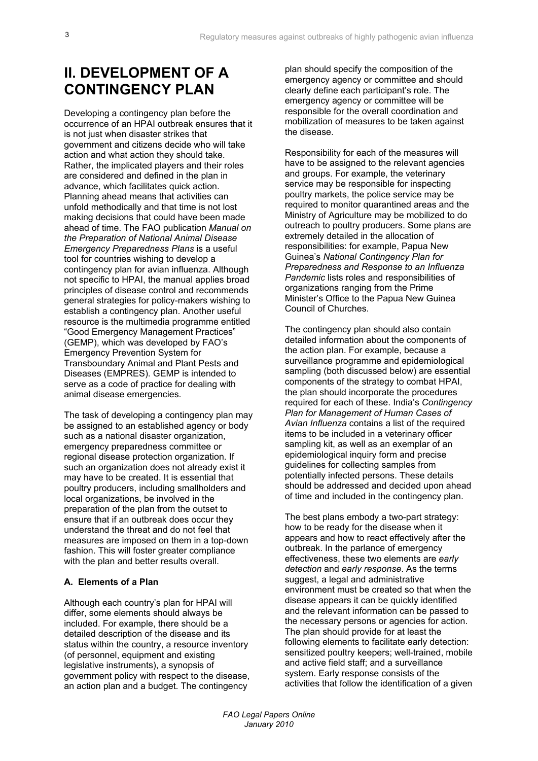# **II. DEVELOPMENT OF A CONTINGENCY PLAN**

Developing a contingency plan before the occurrence of an HPAI outbreak ensures that it is not just when disaster strikes that government and citizens decide who will take action and what action they should take. Rather, the implicated players and their roles are considered and defined in the plan in advance, which facilitates quick action. Planning ahead means that activities can unfold methodically and that time is not lost making decisions that could have been made ahead of time. The FAO publication *Manual on the Preparation of National Animal Disease Emergency Preparedness Plans* is a useful tool for countries wishing to develop a contingency plan for avian influenza. Although not specific to HPAI, the manual applies broad principles of disease control and recommends general strategies for policy-makers wishing to establish a contingency plan. Another useful resource is the multimedia programme entitled "Good Emergency Management Practices" (GEMP), which was developed by FAO's Emergency Prevention System for Transboundary Animal and Plant Pests and Diseases (EMPRES). GEMP is intended to serve as a code of practice for dealing with animal disease emergencies.

The task of developing a contingency plan may be assigned to an established agency or body such as a national disaster organization, emergency preparedness committee or regional disease protection organization. If such an organization does not already exist it may have to be created. It is essential that poultry producers, including smallholders and local organizations, be involved in the preparation of the plan from the outset to ensure that if an outbreak does occur they understand the threat and do not feel that measures are imposed on them in a top-down fashion. This will foster greater compliance with the plan and better results overall.

## **A. Elements of a Plan**

Although each country's plan for HPAI will differ, some elements should always be included. For example, there should be a detailed description of the disease and its status within the country, a resource inventory (of personnel, equipment and existing legislative instruments), a synopsis of government policy with respect to the disease, an action plan and a budget. The contingency

plan should specify the composition of the emergency agency or committee and should clearly define each participant's role. The emergency agency or committee will be responsible for the overall coordination and mobilization of measures to be taken against the disease.

Responsibility for each of the measures will have to be assigned to the relevant agencies and groups. For example, the veterinary service may be responsible for inspecting poultry markets, the police service may be required to monitor quarantined areas and the Ministry of Agriculture may be mobilized to do outreach to poultry producers. Some plans are extremely detailed in the allocation of responsibilities: for example, Papua New Guinea's *National Contingency Plan for Preparedness and Response to an Influenza Pandemic* lists roles and responsibilities of organizations ranging from the Prime Minister's Office to the Papua New Guinea Council of Churches.

The contingency plan should also contain detailed information about the components of the action plan. For example, because a surveillance programme and epidemiological sampling (both discussed below) are essential components of the strategy to combat HPAI, the plan should incorporate the procedures required for each of these. India's *Contingency Plan for Management of Human Cases of Avian Influenza* contains a list of the required items to be included in a veterinary officer sampling kit, as well as an exemplar of an epidemiological inquiry form and precise guidelines for collecting samples from potentially infected persons. These details should be addressed and decided upon ahead of time and included in the contingency plan.

The best plans embody a two-part strategy: how to be ready for the disease when it appears and how to react effectively after the outbreak. In the parlance of emergency effectiveness, these two elements are *early detection* and *early response*. As the terms suggest, a legal and administrative environment must be created so that when the disease appears it can be quickly identified and the relevant information can be passed to the necessary persons or agencies for action. The plan should provide for at least the following elements to facilitate early detection: sensitized poultry keepers; well-trained, mobile and active field staff; and a surveillance system. Early response consists of the activities that follow the identification of a given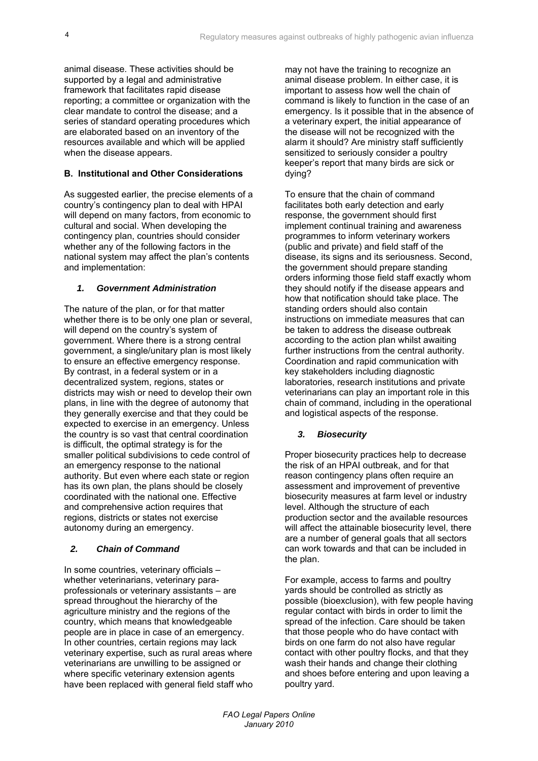animal disease. These activities should be supported by a legal and administrative framework that facilitates rapid disease reporting; a committee or organization with the clear mandate to control the disease; and a series of standard operating procedures which are elaborated based on an inventory of the resources available and which will be applied when the disease appears.

## **B. Institutional and Other Considerations**

As suggested earlier, the precise elements of a country's contingency plan to deal with HPAI will depend on many factors, from economic to cultural and social. When developing the contingency plan, countries should consider whether any of the following factors in the national system may affect the plan's contents and implementation:

#### *1. Government Administration*

The nature of the plan, or for that matter whether there is to be only one plan or several. will depend on the country's system of government. Where there is a strong central government, a single/unitary plan is most likely to ensure an effective emergency response. By contrast, in a federal system or in a decentralized system, regions, states or districts may wish or need to develop their own plans, in line with the degree of autonomy that they generally exercise and that they could be expected to exercise in an emergency. Unless the country is so vast that central coordination is difficult, the optimal strategy is for the smaller political subdivisions to cede control of an emergency response to the national authority. But even where each state or region has its own plan, the plans should be closely coordinated with the national one. Effective and comprehensive action requires that regions, districts or states not exercise autonomy during an emergency.

## *2. Chain of Command*

In some countries, veterinary officials – whether veterinarians, veterinary paraprofessionals or veterinary assistants – are spread throughout the hierarchy of the agriculture ministry and the regions of the country, which means that knowledgeable people are in place in case of an emergency. In other countries, certain regions may lack veterinary expertise, such as rural areas where veterinarians are unwilling to be assigned or where specific veterinary extension agents have been replaced with general field staff who may not have the training to recognize an animal disease problem. In either case, it is important to assess how well the chain of command is likely to function in the case of an emergency. Is it possible that in the absence of a veterinary expert, the initial appearance of the disease will not be recognized with the alarm it should? Are ministry staff sufficiently sensitized to seriously consider a poultry keeper's report that many birds are sick or dying?

To ensure that the chain of command facilitates both early detection and early response, the government should first implement continual training and awareness programmes to inform veterinary workers (public and private) and field staff of the disease, its signs and its seriousness. Second, the government should prepare standing orders informing those field staff exactly whom they should notify if the disease appears and how that notification should take place. The standing orders should also contain instructions on immediate measures that can be taken to address the disease outbreak according to the action plan whilst awaiting further instructions from the central authority. Coordination and rapid communication with key stakeholders including diagnostic laboratories, research institutions and private veterinarians can play an important role in this chain of command, including in the operational and logistical aspects of the response.

## *3. Biosecurity*

Proper biosecurity practices help to decrease the risk of an HPAI outbreak, and for that reason contingency plans often require an assessment and improvement of preventive biosecurity measures at farm level or industry level. Although the structure of each production sector and the available resources will affect the attainable biosecurity level, there are a number of general goals that all sectors can work towards and that can be included in the plan.

For example, access to farms and poultry yards should be controlled as strictly as possible (bioexclusion), with few people having regular contact with birds in order to limit the spread of the infection. Care should be taken that those people who do have contact with birds on one farm do not also have regular contact with other poultry flocks, and that they wash their hands and change their clothing and shoes before entering and upon leaving a poultry yard.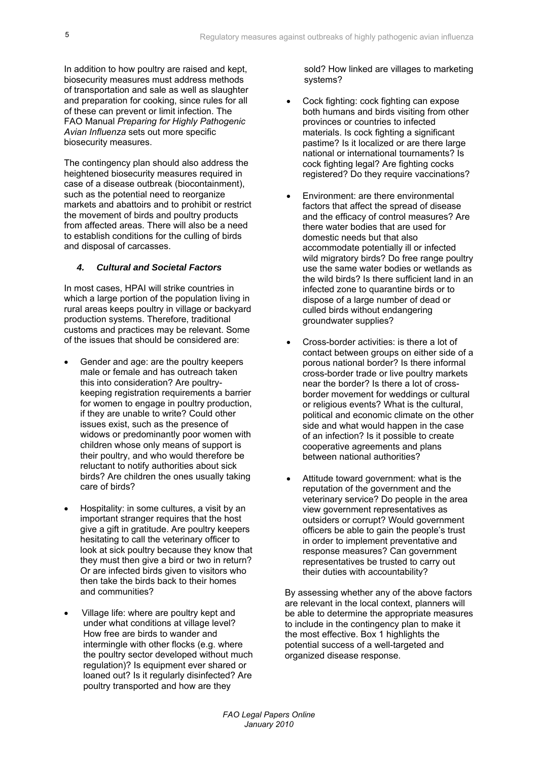In addition to how poultry are raised and kept, biosecurity measures must address methods of transportation and sale as well as slaughter and preparation for cooking, since rules for all of these can prevent or limit infection. The FAO Manual *Preparing for Highly Pathogenic Avian Influenza* sets out more specific biosecurity measures.

The contingency plan should also address the heightened biosecurity measures required in case of a disease outbreak (biocontainment), such as the potential need to reorganize markets and abattoirs and to prohibit or restrict the movement of birds and poultry products from affected areas. There will also be a need to establish conditions for the culling of birds and disposal of carcasses.

## *4. Cultural and Societal Factors*

In most cases, HPAI will strike countries in which a large portion of the population living in rural areas keeps poultry in village or backyard production systems. Therefore, traditional customs and practices may be relevant. Some of the issues that should be considered are:

- Gender and age: are the poultry keepers male or female and has outreach taken this into consideration? Are poultrykeeping registration requirements a barrier for women to engage in poultry production, if they are unable to write? Could other issues exist, such as the presence of widows or predominantly poor women with children whose only means of support is their poultry, and who would therefore be reluctant to notify authorities about sick birds? Are children the ones usually taking care of birds?
- Hospitality: in some cultures, a visit by an important stranger requires that the host give a gift in gratitude. Are poultry keepers hesitating to call the veterinary officer to look at sick poultry because they know that they must then give a bird or two in return? Or are infected birds given to visitors who then take the birds back to their homes and communities?
- Village life: where are poultry kept and under what conditions at village level? How free are birds to wander and intermingle with other flocks (e.g. where the poultry sector developed without much regulation)? Is equipment ever shared or loaned out? Is it regularly disinfected? Are poultry transported and how are they

sold? How linked are villages to marketing systems?

- Cock fighting: cock fighting can expose both humans and birds visiting from other provinces or countries to infected materials. Is cock fighting a significant pastime? Is it localized or are there large national or international tournaments? Is cock fighting legal? Are fighting cocks registered? Do they require vaccinations?
- Environment: are there environmental factors that affect the spread of disease and the efficacy of control measures? Are there water bodies that are used for domestic needs but that also accommodate potentially ill or infected wild migratory birds? Do free range poultry use the same water bodies or wetlands as the wild birds? Is there sufficient land in an infected zone to quarantine birds or to dispose of a large number of dead or culled birds without endangering groundwater supplies?
- Cross-border activities: is there a lot of contact between groups on either side of a porous national border? Is there informal cross-border trade or live poultry markets near the border? Is there a lot of crossborder movement for weddings or cultural or religious events? What is the cultural, political and economic climate on the other side and what would happen in the case of an infection? Is it possible to create cooperative agreements and plans between national authorities?
- Attitude toward government: what is the reputation of the government and the veterinary service? Do people in the area view government representatives as outsiders or corrupt? Would government officers be able to gain the people's trust in order to implement preventative and response measures? Can government representatives be trusted to carry out their duties with accountability?

By assessing whether any of the above factors are relevant in the local context, planners will be able to determine the appropriate measures to include in the contingency plan to make it the most effective. Box 1 highlights the potential success of a well-targeted and organized disease response.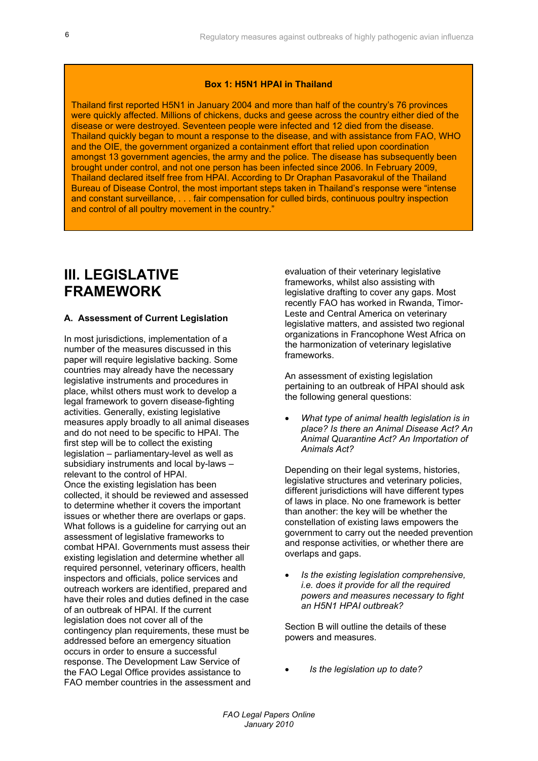#### **Box 1: H5N1 HPAI in Thailand**

Thailand first reported H5N1 in January 2004 and more than half of the country's 76 provinces were quickly affected. Millions of chickens, ducks and geese across the country either died of the disease or were destroyed. Seventeen people were infected and 12 died from the disease. Thailand quickly began to mount a response to the disease, and with assistance from FAO, WHO and the OIE, the government organized a containment effort that relied upon coordination amongst 13 government agencies, the army and the police. The disease has subsequently been brought under control, and not one person has been infected since 2006. In February 2009, Thailand declared itself free from HPAI. According to Dr Oraphan Pasavorakul of the Thailand Bureau of Disease Control, the most important steps taken in Thailand's response were "intense and constant surveillance, . . . fair compensation for culled birds, continuous poultry inspection and control of all poultry movement in the country."

## **III. LEGISLATIVE FRAMEWORK**

#### **A. Assessment of Current Legislation**

In most jurisdictions, implementation of a number of the measures discussed in this paper will require legislative backing. Some countries may already have the necessary legislative instruments and procedures in place, whilst others must work to develop a legal framework to govern disease-fighting activities. Generally, existing legislative measures apply broadly to all animal diseases and do not need to be specific to HPAI. The first step will be to collect the existing legislation – parliamentary-level as well as subsidiary instruments and local by-laws – relevant to the control of HPAI. Once the existing legislation has been collected, it should be reviewed and assessed to determine whether it covers the important issues or whether there are overlaps or gaps. What follows is a guideline for carrying out an assessment of legislative frameworks to combat HPAI. Governments must assess their existing legislation and determine whether all required personnel, veterinary officers, health inspectors and officials, police services and outreach workers are identified, prepared and have their roles and duties defined in the case of an outbreak of HPAI. If the current legislation does not cover all of the contingency plan requirements, these must be addressed before an emergency situation occurs in order to ensure a successful response. The Development Law Service of the FAO Legal Office provides assistance to FAO member countries in the assessment and evaluation of their veterinary legislative frameworks, whilst also assisting with legislative drafting to cover any gaps. Most recently FAO has worked in Rwanda, Timor-Leste and Central America on veterinary legislative matters, and assisted two regional organizations in Francophone West Africa on the harmonization of veterinary legislative frameworks.

An assessment of existing legislation pertaining to an outbreak of HPAI should ask the following general questions:

 *What type of animal health legislation is in place? Is there an Animal Disease Act? An Animal Quarantine Act? An Importation of Animals Act?* 

Depending on their legal systems, histories, legislative structures and veterinary policies, different jurisdictions will have different types of laws in place. No one framework is better than another: the key will be whether the constellation of existing laws empowers the government to carry out the needed prevention and response activities, or whether there are overlaps and gaps.

 *Is the existing legislation comprehensive, i.e. does it provide for all the required powers and measures necessary to fight an H5N1 HPAI outbreak?* 

Section B will outline the details of these powers and measures.

*Is the legislation up to date?*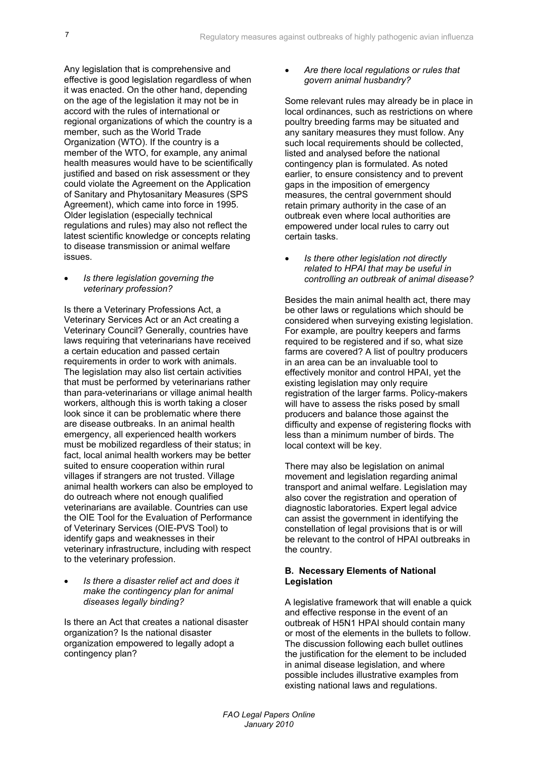Any legislation that is comprehensive and effective is good legislation regardless of when it was enacted. On the other hand, depending on the age of the legislation it may not be in accord with the rules of international or regional organizations of which the country is a member, such as the World Trade Organization (WTO). If the country is a member of the WTO, for example, any animal health measures would have to be scientifically justified and based on risk assessment or they could violate the Agreement on the Application of Sanitary and Phytosanitary Measures (SPS Agreement), which came into force in 1995. Older legislation (especially technical regulations and rules) may also not reflect the latest scientific knowledge or concepts relating to disease transmission or animal welfare issues.

#### *Is there legislation governing the veterinary profession?*

Is there a Veterinary Professions Act, a Veterinary Services Act or an Act creating a Veterinary Council? Generally, countries have laws requiring that veterinarians have received a certain education and passed certain requirements in order to work with animals. The legislation may also list certain activities that must be performed by veterinarians rather than para-veterinarians or village animal health workers, although this is worth taking a closer look since it can be problematic where there are disease outbreaks. In an animal health emergency, all experienced health workers must be mobilized regardless of their status; in fact, local animal health workers may be better suited to ensure cooperation within rural villages if strangers are not trusted. Village animal health workers can also be employed to do outreach where not enough qualified veterinarians are available. Countries can use the OIE Tool for the Evaluation of Performance of Veterinary Services (OIE-PVS Tool) to identify gaps and weaknesses in their veterinary infrastructure, including with respect to the veterinary profession.

 *Is there a disaster relief act and does it make the contingency plan for animal diseases legally binding?* 

Is there an Act that creates a national disaster organization? Is the national disaster organization empowered to legally adopt a contingency plan?

### *Are there local regulations or rules that govern animal husbandry?*

Some relevant rules may already be in place in local ordinances, such as restrictions on where poultry breeding farms may be situated and any sanitary measures they must follow. Any such local requirements should be collected, listed and analysed before the national contingency plan is formulated. As noted earlier, to ensure consistency and to prevent gaps in the imposition of emergency measures, the central government should retain primary authority in the case of an outbreak even where local authorities are empowered under local rules to carry out certain tasks.

 *Is there other legislation not directly related to HPAI that may be useful in controlling an outbreak of animal disease?* 

Besides the main animal health act, there may be other laws or regulations which should be considered when surveying existing legislation. For example, are poultry keepers and farms required to be registered and if so, what size farms are covered? A list of poultry producers in an area can be an invaluable tool to effectively monitor and control HPAI, yet the existing legislation may only require registration of the larger farms. Policy-makers will have to assess the risks posed by small producers and balance those against the difficulty and expense of registering flocks with less than a minimum number of birds. The local context will be key.

There may also be legislation on animal movement and legislation regarding animal transport and animal welfare. Legislation may also cover the registration and operation of diagnostic laboratories. Expert legal advice can assist the government in identifying the constellation of legal provisions that is or will be relevant to the control of HPAI outbreaks in the country.

#### **B. Necessary Elements of National Legislation**

A legislative framework that will enable a quick and effective response in the event of an outbreak of H5N1 HPAI should contain many or most of the elements in the bullets to follow. The discussion following each bullet outlines the justification for the element to be included in animal disease legislation, and where possible includes illustrative examples from existing national laws and regulations.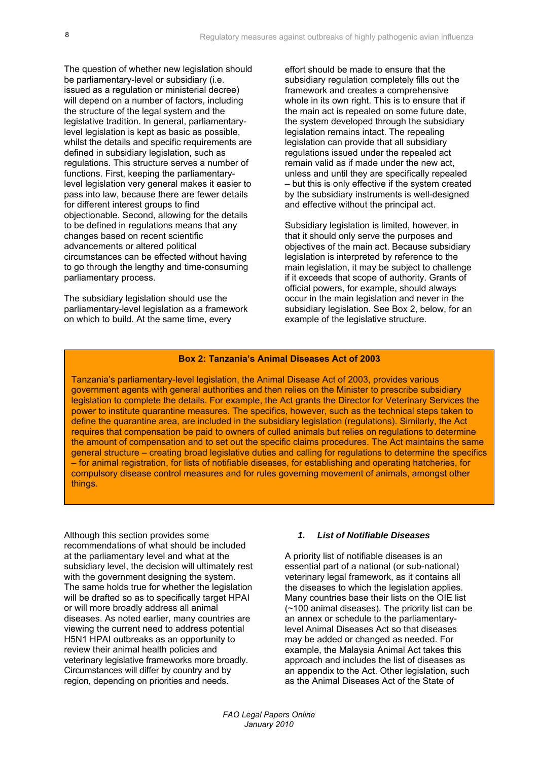The question of whether new legislation should be parliamentary-level or subsidiary (i.e. issued as a regulation or ministerial decree) will depend on a number of factors, including the structure of the legal system and the legislative tradition. In general, parliamentarylevel legislation is kept as basic as possible, whilst the details and specific requirements are defined in subsidiary legislation, such as regulations. This structure serves a number of functions. First, keeping the parliamentarylevel legislation very general makes it easier to pass into law, because there are fewer details for different interest groups to find objectionable. Second, allowing for the details to be defined in regulations means that any changes based on recent scientific advancements or altered political circumstances can be effected without having to go through the lengthy and time-consuming parliamentary process.

The subsidiary legislation should use the parliamentary-level legislation as a framework on which to build. At the same time, every

effort should be made to ensure that the subsidiary regulation completely fills out the framework and creates a comprehensive whole in its own right. This is to ensure that if the main act is repealed on some future date, the system developed through the subsidiary legislation remains intact. The repealing legislation can provide that all subsidiary regulations issued under the repealed act remain valid as if made under the new act, unless and until they are specifically repealed – but this is only effective if the system created by the subsidiary instruments is well-designed and effective without the principal act.

Subsidiary legislation is limited, however, in that it should only serve the purposes and objectives of the main act. Because subsidiary legislation is interpreted by reference to the main legislation, it may be subject to challenge if it exceeds that scope of authority. Grants of official powers, for example, should always occur in the main legislation and never in the subsidiary legislation. See Box 2, below, for an example of the legislative structure.

#### **Box 2: Tanzania's Animal Diseases Act of 2003**

Tanzania's parliamentary-level legislation, the Animal Disease Act of 2003, provides various government agents with general authorities and then relies on the Minister to prescribe subsidiary legislation to complete the details. For example, the Act grants the Director for Veterinary Services the power to institute quarantine measures. The specifics, however, such as the technical steps taken to define the quarantine area, are included in the subsidiary legislation (regulations). Similarly, the Act requires that compensation be paid to owners of culled animals but relies on regulations to determine the amount of compensation and to set out the specific claims procedures. The Act maintains the same general structure – creating broad legislative duties and calling for regulations to determine the specifics – for animal registration, for lists of notifiable diseases, for establishing and operating hatcheries, for compulsory disease control measures and for rules governing movement of animals, amongst other things.

Although this section provides some recommendations of what should be included at the parliamentary level and what at the subsidiary level, the decision will ultimately rest with the government designing the system. The same holds true for whether the legislation will be drafted so as to specifically target HPAI or will more broadly address all animal diseases. As noted earlier, many countries are viewing the current need to address potential H5N1 HPAI outbreaks as an opportunity to review their animal health policies and veterinary legislative frameworks more broadly. Circumstances will differ by country and by region, depending on priorities and needs.

#### *1. List of Notifiable Diseases*

A priority list of notifiable diseases is an essential part of a national (or sub-national) veterinary legal framework, as it contains all the diseases to which the legislation applies. Many countries base their lists on the OIE list (~100 animal diseases). The priority list can be an annex or schedule to the parliamentarylevel Animal Diseases Act so that diseases may be added or changed as needed. For example, the Malaysia Animal Act takes this approach and includes the list of diseases as an appendix to the Act. Other legislation, such as the Animal Diseases Act of the State of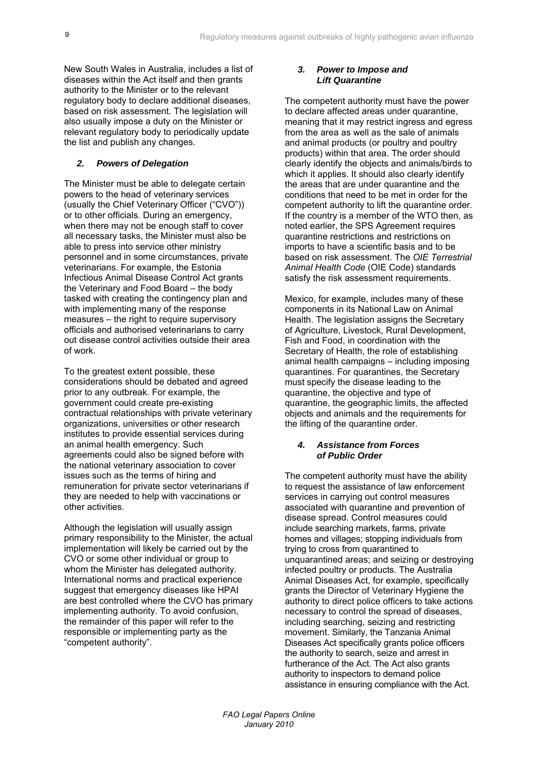New South Wales in Australia, includes a list of diseases within the Act itself and then grants authority to the Minister or to the relevant regulatory body to declare additional diseases, based on risk assessment. The legislation will also usually impose a duty on the Minister or relevant regulatory body to periodically update the list and publish any changes.

## *2. Powers of Delegation*

The Minister must be able to delegate certain powers to the head of veterinary services (usually the Chief Veterinary Officer ("CVO")) or to other officials. During an emergency, when there may not be enough staff to cover all necessary tasks, the Minister must also be able to press into service other ministry personnel and in some circumstances, private veterinarians. For example, the Estonia Infectious Animal Disease Control Act grants the Veterinary and Food Board – the body tasked with creating the contingency plan and with implementing many of the response measures – the right to require supervisory officials and authorised veterinarians to carry out disease control activities outside their area of work.

To the greatest extent possible, these considerations should be debated and agreed prior to any outbreak. For example, the government could create pre-existing contractual relationships with private veterinary organizations, universities or other research institutes to provide essential services during an animal health emergency. Such agreements could also be signed before with the national veterinary association to cover issues such as the terms of hiring and remuneration for private sector veterinarians if they are needed to help with vaccinations or other activities.

Although the legislation will usually assign primary responsibility to the Minister, the actual implementation will likely be carried out by the CVO or some other individual or group to whom the Minister has delegated authority. International norms and practical experience suggest that emergency diseases like HPAI are best controlled where the CVO has primary implementing authority. To avoid confusion, the remainder of this paper will refer to the responsible or implementing party as the "competent authority".

#### *3. Power to Impose and Lift Quarantine*

The competent authority must have the power to declare affected areas under quarantine, meaning that it may restrict ingress and egress from the area as well as the sale of animals and animal products (or poultry and poultry products) within that area. The order should clearly identify the objects and animals/birds to which it applies. It should also clearly identify the areas that are under quarantine and the conditions that need to be met in order for the competent authority to lift the quarantine order. If the country is a member of the WTO then, as noted earlier, the SPS Agreement requires quarantine restrictions and restrictions on imports to have a scientific basis and to be based on risk assessment. The *OIE Terrestrial Animal Health Code* (OIE Code) standards satisfy the risk assessment requirements.

Mexico, for example, includes many of these components in its National Law on Animal Health. The legislation assigns the Secretary of Agriculture, Livestock, Rural Development, Fish and Food, in coordination with the Secretary of Health, the role of establishing animal health campaigns – including imposing quarantines. For quarantines, the Secretary must specify the disease leading to the quarantine, the objective and type of quarantine, the geographic limits, the affected objects and animals and the requirements for the lifting of the quarantine order.

#### *4. Assistance from Forces of Public Order*

The competent authority must have the ability to request the assistance of law enforcement services in carrying out control measures associated with quarantine and prevention of disease spread. Control measures could include searching markets, farms, private homes and villages; stopping individuals from trying to cross from quarantined to unquarantined areas; and seizing or destroying infected poultry or products. The Australia Animal Diseases Act, for example, specifically grants the Director of Veterinary Hygiene the authority to direct police officers to take actions necessary to control the spread of diseases, including searching, seizing and restricting movement. Similarly, the Tanzania Animal Diseases Act specifically grants police officers the authority to search, seize and arrest in furtherance of the Act. The Act also grants authority to inspectors to demand police assistance in ensuring compliance with the Act.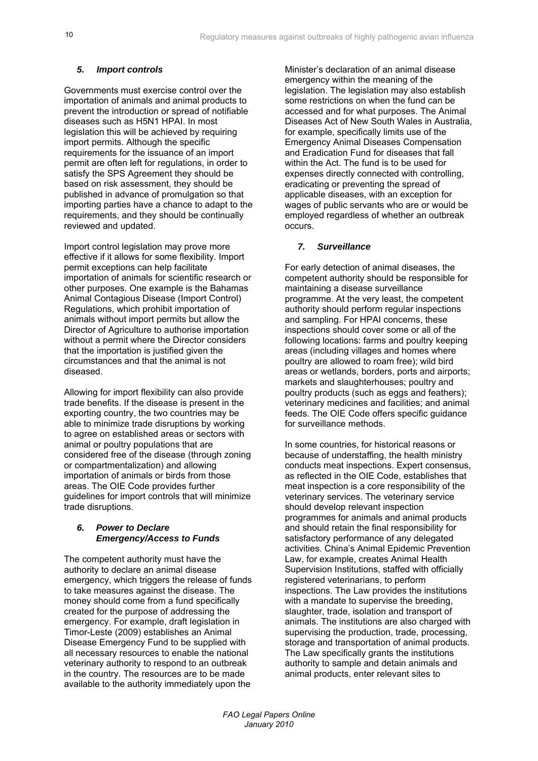## *5. Import controls*

Governments must exercise control over the importation of animals and animal products to prevent the introduction or spread of notifiable diseases such as H5N1 HPAI. In most legislation this will be achieved by requiring import permits. Although the specific requirements for the issuance of an import permit are often left for regulations, in order to satisfy the SPS Agreement they should be based on risk assessment, they should be published in advance of promulgation so that importing parties have a chance to adapt to the requirements, and they should be continually reviewed and updated.

Import control legislation may prove more effective if it allows for some flexibility. Import permit exceptions can help facilitate importation of animals for scientific research or other purposes. One example is the Bahamas Animal Contagious Disease (Import Control) Regulations, which prohibit importation of animals without import permits but allow the Director of Agriculture to authorise importation without a permit where the Director considers that the importation is justified given the circumstances and that the animal is not diseased.

Allowing for import flexibility can also provide trade benefits. If the disease is present in the exporting country, the two countries may be able to minimize trade disruptions by working to agree on established areas or sectors with animal or poultry populations that are considered free of the disease (through zoning or compartmentalization) and allowing importation of animals or birds from those areas. The OIE Code provides further guidelines for import controls that will minimize trade disruptions.

#### *6. Power to Declare Emergency/Access to Funds*

The competent authority must have the authority to declare an animal disease emergency, which triggers the release of funds to take measures against the disease. The money should come from a fund specifically created for the purpose of addressing the emergency. For example, draft legislation in Timor-Leste (2009) establishes an Animal Disease Emergency Fund to be supplied with all necessary resources to enable the national veterinary authority to respond to an outbreak in the country. The resources are to be made available to the authority immediately upon the

Minister's declaration of an animal disease emergency within the meaning of the legislation. The legislation may also establish some restrictions on when the fund can be accessed and for what purposes. The Animal Diseases Act of New South Wales in Australia, for example, specifically limits use of the Emergency Animal Diseases Compensation and Eradication Fund for diseases that fall within the Act. The fund is to be used for expenses directly connected with controlling, eradicating or preventing the spread of applicable diseases, with an exception for wages of public servants who are or would be employed regardless of whether an outbreak occurs.

## *7. Surveillance*

For early detection of animal diseases, the competent authority should be responsible for maintaining a disease surveillance programme. At the very least, the competent authority should perform regular inspections and sampling. For HPAI concerns, these inspections should cover some or all of the following locations: farms and poultry keeping areas (including villages and homes where poultry are allowed to roam free); wild bird areas or wetlands, borders, ports and airports; markets and slaughterhouses; poultry and poultry products (such as eggs and feathers); veterinary medicines and facilities; and animal feeds. The OIE Code offers specific guidance for surveillance methods.

In some countries, for historical reasons or because of understaffing, the health ministry conducts meat inspections. Expert consensus, as reflected in the OIE Code, establishes that meat inspection is a core responsibility of the veterinary services. The veterinary service should develop relevant inspection programmes for animals and animal products and should retain the final responsibility for satisfactory performance of any delegated activities. China's Animal Epidemic Prevention Law, for example, creates Animal Health Supervision Institutions, staffed with officially registered veterinarians, to perform inspections. The Law provides the institutions with a mandate to supervise the breeding. slaughter, trade, isolation and transport of animals. The institutions are also charged with supervising the production, trade, processing, storage and transportation of animal products. The Law specifically grants the institutions authority to sample and detain animals and animal products, enter relevant sites to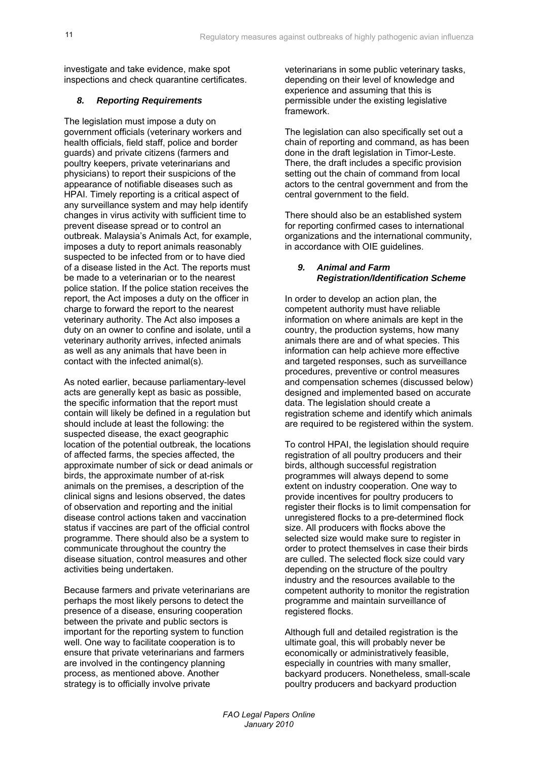investigate and take evidence, make spot inspections and check quarantine certificates.

## *8. Reporting Requirements*

The legislation must impose a duty on government officials (veterinary workers and health officials, field staff, police and border guards) and private citizens (farmers and poultry keepers, private veterinarians and physicians) to report their suspicions of the appearance of notifiable diseases such as HPAI. Timely reporting is a critical aspect of any surveillance system and may help identify changes in virus activity with sufficient time to prevent disease spread or to control an outbreak. Malaysia's Animals Act, for example, imposes a duty to report animals reasonably suspected to be infected from or to have died of a disease listed in the Act. The reports must be made to a veterinarian or to the nearest police station. If the police station receives the report, the Act imposes a duty on the officer in charge to forward the report to the nearest veterinary authority. The Act also imposes a duty on an owner to confine and isolate, until a veterinary authority arrives, infected animals as well as any animals that have been in contact with the infected animal(s).

As noted earlier, because parliamentary-level acts are generally kept as basic as possible, the specific information that the report must contain will likely be defined in a regulation but should include at least the following: the suspected disease, the exact geographic location of the potential outbreak, the locations of affected farms, the species affected, the approximate number of sick or dead animals or birds, the approximate number of at-risk animals on the premises, a description of the clinical signs and lesions observed, the dates of observation and reporting and the initial disease control actions taken and vaccination status if vaccines are part of the official control programme. There should also be a system to communicate throughout the country the disease situation, control measures and other activities being undertaken.

Because farmers and private veterinarians are perhaps the most likely persons to detect the presence of a disease, ensuring cooperation between the private and public sectors is important for the reporting system to function well. One way to facilitate cooperation is to ensure that private veterinarians and farmers are involved in the contingency planning process, as mentioned above. Another strategy is to officially involve private

veterinarians in some public veterinary tasks, depending on their level of knowledge and experience and assuming that this is permissible under the existing legislative framework.

The legislation can also specifically set out a chain of reporting and command, as has been done in the draft legislation in Timor-Leste. There, the draft includes a specific provision setting out the chain of command from local actors to the central government and from the central government to the field.

There should also be an established system for reporting confirmed cases to international organizations and the international community, in accordance with OIE guidelines.

### *9. Animal and Farm Registration/Identification Scheme*

In order to develop an action plan, the competent authority must have reliable information on where animals are kept in the country, the production systems, how many animals there are and of what species. This information can help achieve more effective and targeted responses, such as surveillance procedures, preventive or control measures and compensation schemes (discussed below) designed and implemented based on accurate data. The legislation should create a registration scheme and identify which animals are required to be registered within the system.

To control HPAI, the legislation should require registration of all poultry producers and their birds, although successful registration programmes will always depend to some extent on industry cooperation. One way to provide incentives for poultry producers to register their flocks is to limit compensation for unregistered flocks to a pre-determined flock size. All producers with flocks above the selected size would make sure to register in order to protect themselves in case their birds are culled. The selected flock size could vary depending on the structure of the poultry industry and the resources available to the competent authority to monitor the registration programme and maintain surveillance of registered flocks.

Although full and detailed registration is the ultimate goal, this will probably never be economically or administratively feasible, especially in countries with many smaller, backyard producers. Nonetheless, small-scale poultry producers and backyard production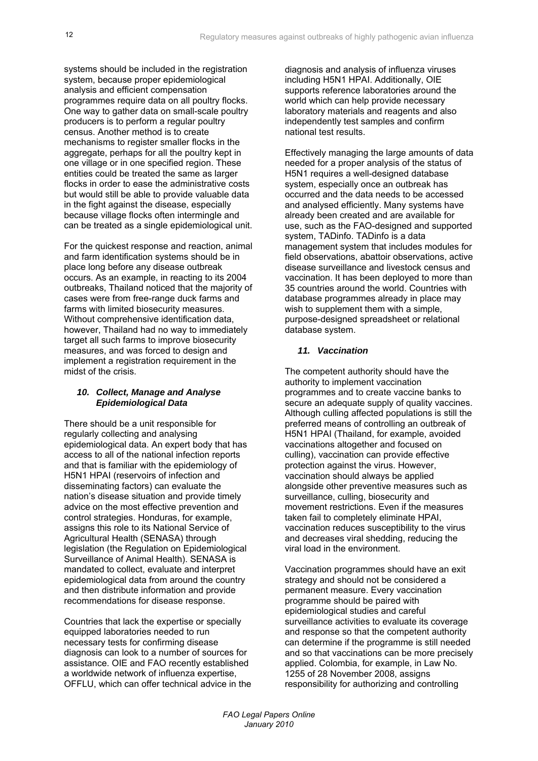systems should be included in the registration system, because proper epidemiological analysis and efficient compensation programmes require data on all poultry flocks. One way to gather data on small-scale poultry producers is to perform a regular poultry census. Another method is to create mechanisms to register smaller flocks in the aggregate, perhaps for all the poultry kept in one village or in one specified region. These entities could be treated the same as larger flocks in order to ease the administrative costs but would still be able to provide valuable data in the fight against the disease, especially because village flocks often intermingle and can be treated as a single epidemiological unit.

For the quickest response and reaction, animal and farm identification systems should be in place long before any disease outbreak occurs. As an example, in reacting to its 2004 outbreaks, Thailand noticed that the majority of cases were from free-range duck farms and farms with limited biosecurity measures. Without comprehensive identification data, however, Thailand had no way to immediately target all such farms to improve biosecurity measures, and was forced to design and implement a registration requirement in the midst of the crisis.

#### *10. Collect, Manage and Analyse Epidemiological Data*

There should be a unit responsible for regularly collecting and analysing epidemiological data. An expert body that has access to all of the national infection reports and that is familiar with the epidemiology of H5N1 HPAI (reservoirs of infection and disseminating factors) can evaluate the nation's disease situation and provide timely advice on the most effective prevention and control strategies. Honduras, for example, assigns this role to its National Service of Agricultural Health (SENASA) through legislation (the Regulation on Epidemiological Surveillance of Animal Health). SENASA is mandated to collect, evaluate and interpret epidemiological data from around the country and then distribute information and provide recommendations for disease response.

Countries that lack the expertise or specially equipped laboratories needed to run necessary tests for confirming disease diagnosis can look to a number of sources for assistance. OIE and FAO recently established a worldwide network of influenza expertise, OFFLU, which can offer technical advice in the diagnosis and analysis of influenza viruses including H5N1 HPAI. Additionally, OIE supports reference laboratories around the world which can help provide necessary laboratory materials and reagents and also independently test samples and confirm national test results.

Effectively managing the large amounts of data needed for a proper analysis of the status of H5N1 requires a well-designed database system, especially once an outbreak has occurred and the data needs to be accessed and analysed efficiently. Many systems have already been created and are available for use, such as the FAO-designed and supported system, TADinfo. TADinfo is a data management system that includes modules for field observations, abattoir observations, active disease surveillance and livestock census and vaccination. It has been deployed to more than 35 countries around the world. Countries with database programmes already in place may wish to supplement them with a simple, purpose-designed spreadsheet or relational database system.

## *11. Vaccination*

The competent authority should have the authority to implement vaccination programmes and to create vaccine banks to secure an adequate supply of quality vaccines. Although culling affected populations is still the preferred means of controlling an outbreak of H5N1 HPAI (Thailand, for example, avoided vaccinations altogether and focused on culling), vaccination can provide effective protection against the virus. However, vaccination should always be applied alongside other preventive measures such as surveillance, culling, biosecurity and movement restrictions. Even if the measures taken fail to completely eliminate HPAI, vaccination reduces susceptibility to the virus and decreases viral shedding, reducing the viral load in the environment.

Vaccination programmes should have an exit strategy and should not be considered a permanent measure. Every vaccination programme should be paired with epidemiological studies and careful surveillance activities to evaluate its coverage and response so that the competent authority can determine if the programme is still needed and so that vaccinations can be more precisely applied. Colombia, for example, in Law No. 1255 of 28 November 2008, assigns responsibility for authorizing and controlling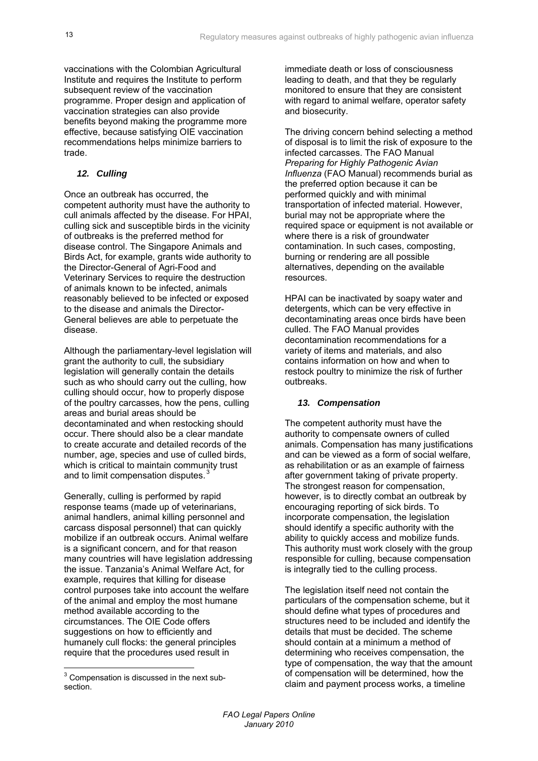vaccinations with the Colombian Agricultural Institute and requires the Institute to perform subsequent review of the vaccination programme. Proper design and application of vaccination strategies can also provide benefits beyond making the programme more effective, because satisfying OIE vaccination recommendations helps minimize barriers to trade.

## *12. Culling*

Once an outbreak has occurred, the competent authority must have the authority to cull animals affected by the disease. For HPAI, culling sick and susceptible birds in the vicinity of outbreaks is the preferred method for disease control. The Singapore Animals and Birds Act, for example, grants wide authority to the Director-General of Agri-Food and Veterinary Services to require the destruction of animals known to be infected, animals reasonably believed to be infected or exposed to the disease and animals the Director-General believes are able to perpetuate the disease.

Although the parliamentary-level legislation will grant the authority to cull, the subsidiary legislation will generally contain the details such as who should carry out the culling, how culling should occur, how to properly dispose of the poultry carcasses, how the pens, culling areas and burial areas should be decontaminated and when restocking should occur. There should also be a clear mandate to create accurate and detailed records of the number, age, species and use of culled birds, which is critical to maintain community trust and to limit compensation disputes.<sup>3</sup>

Generally, culling is performed by rapid response teams (made up of veterinarians, animal handlers, animal killing personnel and carcass disposal personnel) that can quickly mobilize if an outbreak occurs. Animal welfare is a significant concern, and for that reason many countries will have legislation addressing the issue. Tanzania's Animal Welfare Act, for example, requires that killing for disease control purposes take into account the welfare of the animal and employ the most humane method available according to the circumstances. The OIE Code offers suggestions on how to efficiently and humanely cull flocks: the general principles require that the procedures used result in

immediate death or loss of consciousness leading to death, and that they be regularly monitored to ensure that they are consistent with regard to animal welfare, operator safety and biosecurity.

The driving concern behind selecting a method of disposal is to limit the risk of exposure to the infected carcasses. The FAO Manual *Preparing for Highly Pathogenic Avian Influenza* (FAO Manual) recommends burial as the preferred option because it can be performed quickly and with minimal transportation of infected material. However, burial may not be appropriate where the required space or equipment is not available or where there is a risk of groundwater contamination. In such cases, composting, burning or rendering are all possible alternatives, depending on the available resources.

HPAI can be inactivated by soapy water and detergents, which can be very effective in decontaminating areas once birds have been culled. The FAO Manual provides decontamination recommendations for a variety of items and materials, and also contains information on how and when to restock poultry to minimize the risk of further outbreaks.

## *13. Compensation*

The competent authority must have the authority to compensate owners of culled animals. Compensation has many justifications and can be viewed as a form of social welfare, as rehabilitation or as an example of fairness after government taking of private property. The strongest reason for compensation, however, is to directly combat an outbreak by encouraging reporting of sick birds. To incorporate compensation, the legislation should identify a specific authority with the ability to quickly access and mobilize funds. This authority must work closely with the group responsible for culling, because compensation is integrally tied to the culling process.

The legislation itself need not contain the particulars of the compensation scheme, but it should define what types of procedures and structures need to be included and identify the details that must be decided. The scheme should contain at a minimum a method of determining who receives compensation, the type of compensation, the way that the amount of compensation will be determined, how the claim and payment process works, a timeline

 3 Compensation is discussed in the next subsection.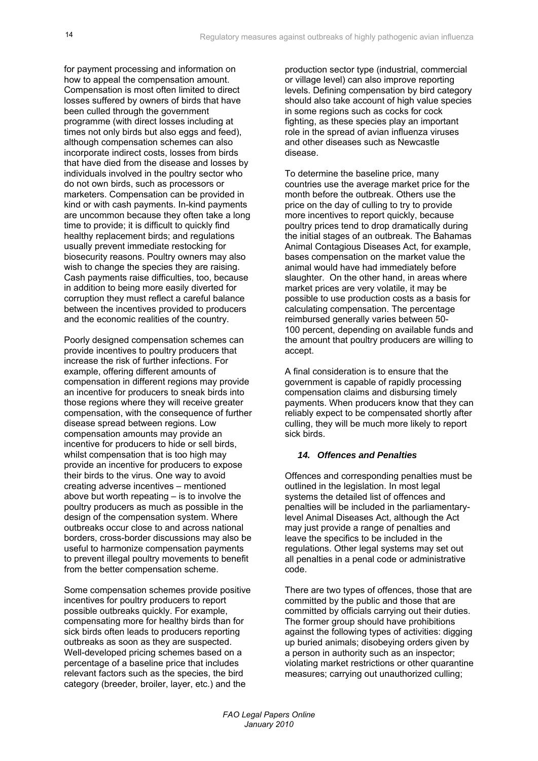for payment processing and information on how to appeal the compensation amount. Compensation is most often limited to direct losses suffered by owners of birds that have been culled through the government programme (with direct losses including at times not only birds but also eggs and feed), although compensation schemes can also incorporate indirect costs, losses from birds that have died from the disease and losses by individuals involved in the poultry sector who do not own birds, such as processors or marketers. Compensation can be provided in kind or with cash payments. In-kind payments are uncommon because they often take a long time to provide; it is difficult to quickly find healthy replacement birds; and regulations usually prevent immediate restocking for biosecurity reasons. Poultry owners may also wish to change the species they are raising. Cash payments raise difficulties, too, because in addition to being more easily diverted for corruption they must reflect a careful balance between the incentives provided to producers and the economic realities of the country.

Poorly designed compensation schemes can provide incentives to poultry producers that increase the risk of further infections. For example, offering different amounts of compensation in different regions may provide an incentive for producers to sneak birds into those regions where they will receive greater compensation, with the consequence of further disease spread between regions. Low compensation amounts may provide an incentive for producers to hide or sell birds, whilst compensation that is too high may provide an incentive for producers to expose their birds to the virus. One way to avoid creating adverse incentives – mentioned above but worth repeating – is to involve the poultry producers as much as possible in the design of the compensation system. Where outbreaks occur close to and across national borders, cross-border discussions may also be useful to harmonize compensation payments to prevent illegal poultry movements to benefit from the better compensation scheme.

Some compensation schemes provide positive incentives for poultry producers to report possible outbreaks quickly. For example, compensating more for healthy birds than for sick birds often leads to producers reporting outbreaks as soon as they are suspected. Well-developed pricing schemes based on a percentage of a baseline price that includes relevant factors such as the species, the bird category (breeder, broiler, layer, etc.) and the

production sector type (industrial, commercial or village level) can also improve reporting levels. Defining compensation by bird category should also take account of high value species in some regions such as cocks for cock fighting, as these species play an important role in the spread of avian influenza viruses and other diseases such as Newcastle disease.

To determine the baseline price, many countries use the average market price for the month before the outbreak. Others use the price on the day of culling to try to provide more incentives to report quickly, because poultry prices tend to drop dramatically during the initial stages of an outbreak. The Bahamas Animal Contagious Diseases Act, for example, bases compensation on the market value the animal would have had immediately before slaughter. On the other hand, in areas where market prices are very volatile, it may be possible to use production costs as a basis for calculating compensation. The percentage reimbursed generally varies between 50- 100 percent, depending on available funds and the amount that poultry producers are willing to accept.

A final consideration is to ensure that the government is capable of rapidly processing compensation claims and disbursing timely payments. When producers know that they can reliably expect to be compensated shortly after culling, they will be much more likely to report sick birds.

## *14. Offences and Penalties*

Offences and corresponding penalties must be outlined in the legislation. In most legal systems the detailed list of offences and penalties will be included in the parliamentarylevel Animal Diseases Act, although the Act may just provide a range of penalties and leave the specifics to be included in the regulations. Other legal systems may set out all penalties in a penal code or administrative code.

There are two types of offences, those that are committed by the public and those that are committed by officials carrying out their duties. The former group should have prohibitions against the following types of activities: digging up buried animals; disobeying orders given by a person in authority such as an inspector; violating market restrictions or other quarantine measures; carrying out unauthorized culling;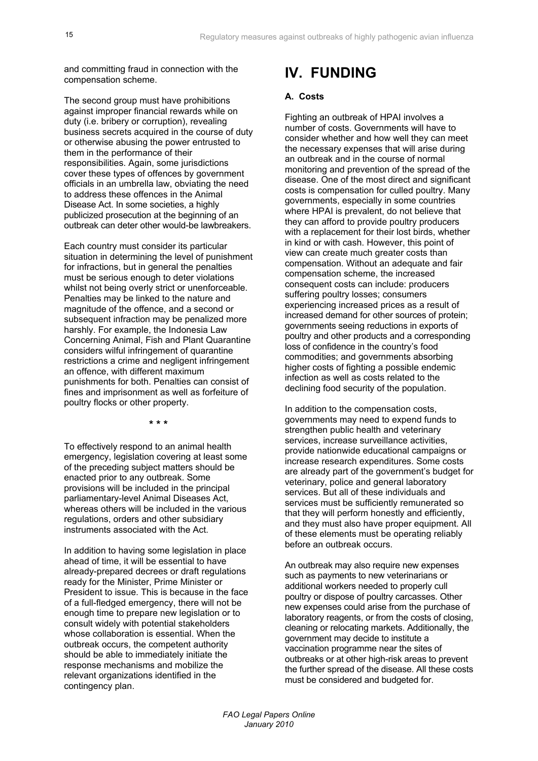and committing fraud in connection with the compensation scheme.

The second group must have prohibitions against improper financial rewards while on duty (i.e. bribery or corruption), revealing business secrets acquired in the course of duty or otherwise abusing the power entrusted to them in the performance of their responsibilities. Again, some jurisdictions cover these types of offences by government officials in an umbrella law, obviating the need to address these offences in the Animal Disease Act. In some societies, a highly publicized prosecution at the beginning of an outbreak can deter other would-be lawbreakers.

Each country must consider its particular situation in determining the level of punishment for infractions, but in general the penalties must be serious enough to deter violations whilst not being overly strict or unenforceable. Penalties may be linked to the nature and magnitude of the offence, and a second or subsequent infraction may be penalized more harshly. For example, the Indonesia Law Concerning Animal, Fish and Plant Quarantine considers wilful infringement of quarantine restrictions a crime and negligent infringement an offence, with different maximum punishments for both. Penalties can consist of fines and imprisonment as well as forfeiture of poultry flocks or other property.

**\* \* \*** 

To effectively respond to an animal health emergency, legislation covering at least some of the preceding subject matters should be enacted prior to any outbreak. Some provisions will be included in the principal parliamentary-level Animal Diseases Act, whereas others will be included in the various regulations, orders and other subsidiary instruments associated with the Act.

In addition to having some legislation in place ahead of time, it will be essential to have already-prepared decrees or draft regulations ready for the Minister, Prime Minister or President to issue. This is because in the face of a full-fledged emergency, there will not be enough time to prepare new legislation or to consult widely with potential stakeholders whose collaboration is essential. When the outbreak occurs, the competent authority should be able to immediately initiate the response mechanisms and mobilize the relevant organizations identified in the contingency plan.

# **IV. FUNDING**

#### **A. Costs**

Fighting an outbreak of HPAI involves a number of costs. Governments will have to consider whether and how well they can meet the necessary expenses that will arise during an outbreak and in the course of normal monitoring and prevention of the spread of the disease. One of the most direct and significant costs is compensation for culled poultry. Many governments, especially in some countries where HPAI is prevalent, do not believe that they can afford to provide poultry producers with a replacement for their lost birds, whether in kind or with cash. However, this point of view can create much greater costs than compensation. Without an adequate and fair compensation scheme, the increased consequent costs can include: producers suffering poultry losses; consumers experiencing increased prices as a result of increased demand for other sources of protein; governments seeing reductions in exports of poultry and other products and a corresponding loss of confidence in the country's food commodities; and governments absorbing higher costs of fighting a possible endemic infection as well as costs related to the declining food security of the population.

In addition to the compensation costs, governments may need to expend funds to strengthen public health and veterinary services, increase surveillance activities, provide nationwide educational campaigns or increase research expenditures. Some costs are already part of the government's budget for veterinary, police and general laboratory services. But all of these individuals and services must be sufficiently remunerated so that they will perform honestly and efficiently, and they must also have proper equipment. All of these elements must be operating reliably before an outbreak occurs.

An outbreak may also require new expenses such as payments to new veterinarians or additional workers needed to properly cull poultry or dispose of poultry carcasses. Other new expenses could arise from the purchase of laboratory reagents, or from the costs of closing, cleaning or relocating markets. Additionally, the government may decide to institute a vaccination programme near the sites of outbreaks or at other high-risk areas to prevent the further spread of the disease. All these costs must be considered and budgeted for.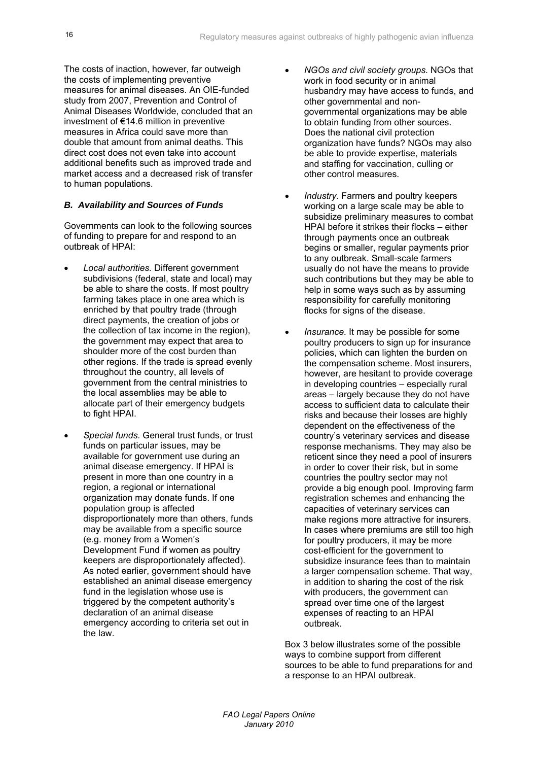The costs of inaction, however, far outweigh the costs of implementing preventive measures for animal diseases. An OIE-funded study from 2007, Prevention and Control of Animal Diseases Worldwide, concluded that an investment of €14.6 million in preventive measures in Africa could save more than double that amount from animal deaths. This direct cost does not even take into account additional benefits such as improved trade and market access and a decreased risk of transfer to human populations.

## *B. Availability and Sources of Funds*

Governments can look to the following sources of funding to prepare for and respond to an outbreak of HPAI:

- *Local authorities.* Different government subdivisions (federal, state and local) may be able to share the costs. If most poultry farming takes place in one area which is enriched by that poultry trade (through direct payments, the creation of jobs or the collection of tax income in the region), the government may expect that area to shoulder more of the cost burden than other regions. If the trade is spread evenly throughout the country, all levels of government from the central ministries to the local assemblies may be able to allocate part of their emergency budgets to fight HPAI.
- *Special funds.* General trust funds, or trust funds on particular issues, may be available for government use during an animal disease emergency. If HPAI is present in more than one country in a region, a regional or international organization may donate funds. If one population group is affected disproportionately more than others, funds may be available from a specific source (e.g. money from a Women's Development Fund if women as poultry keepers are disproportionately affected). As noted earlier, government should have established an animal disease emergency fund in the legislation whose use is triggered by the competent authority's declaration of an animal disease emergency according to criteria set out in the law.
- *NGOs and civil society groups.* NGOs that work in food security or in animal husbandry may have access to funds, and other governmental and nongovernmental organizations may be able to obtain funding from other sources. Does the national civil protection organization have funds? NGOs may also be able to provide expertise, materials and staffing for vaccination, culling or other control measures.
- *Industry.* Farmers and poultry keepers working on a large scale may be able to subsidize preliminary measures to combat HPAI before it strikes their flocks – either through payments once an outbreak begins or smaller, regular payments prior to any outbreak. Small-scale farmers usually do not have the means to provide such contributions but they may be able to help in some ways such as by assuming responsibility for carefully monitoring flocks for signs of the disease.
- *Insurance.* It may be possible for some poultry producers to sign up for insurance policies, which can lighten the burden on the compensation scheme. Most insurers, however, are hesitant to provide coverage in developing countries – especially rural areas – largely because they do not have access to sufficient data to calculate their risks and because their losses are highly dependent on the effectiveness of the country's veterinary services and disease response mechanisms. They may also be reticent since they need a pool of insurers in order to cover their risk, but in some countries the poultry sector may not provide a big enough pool. Improving farm registration schemes and enhancing the capacities of veterinary services can make regions more attractive for insurers. In cases where premiums are still too high for poultry producers, it may be more cost-efficient for the government to subsidize insurance fees than to maintain a larger compensation scheme. That way, in addition to sharing the cost of the risk with producers, the government can spread over time one of the largest expenses of reacting to an HPAI outbreak.

Box 3 below illustrates some of the possible ways to combine support from different sources to be able to fund preparations for and a response to an HPAI outbreak.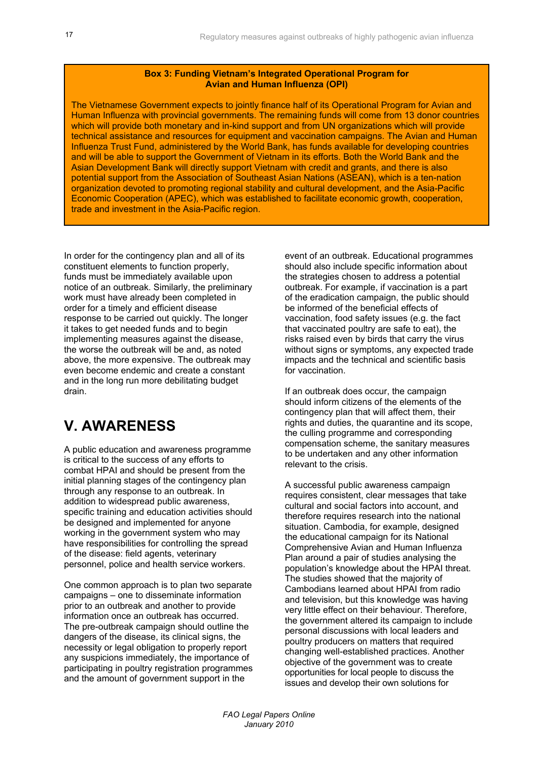#### **Box 3: Funding Vietnam's Integrated Operational Program for Avian and Human Influenza (OPI)**

The Vietnamese Government expects to jointly finance half of its Operational Program for Avian and Human Influenza with provincial governments. The remaining funds will come from 13 donor countries which will provide both monetary and in-kind support and from UN organizations which will provide technical assistance and resources for equipment and vaccination campaigns. The Avian and Human Influenza Trust Fund, administered by the World Bank, has funds available for developing countries and will be able to support the Government of Vietnam in its efforts. Both the World Bank and the Asian Development Bank will directly support Vietnam with credit and grants, and there is also potential support from the Association of Southeast Asian Nations (ASEAN), which is a ten-nation organization devoted to promoting regional stability and cultural development, and the Asia-Pacific Economic Cooperation (APEC), which was established to facilitate economic growth, cooperation, trade and investment in the Asia-Pacific region.

In order for the contingency plan and all of its constituent elements to function properly, funds must be immediately available upon notice of an outbreak. Similarly, the preliminary work must have already been completed in order for a timely and efficient disease response to be carried out quickly. The longer it takes to get needed funds and to begin implementing measures against the disease, the worse the outbreak will be and, as noted above, the more expensive. The outbreak may even become endemic and create a constant and in the long run more debilitating budget drain.

# **V. AWARENESS**

A public education and awareness programme is critical to the success of any efforts to combat HPAI and should be present from the initial planning stages of the contingency plan through any response to an outbreak. In addition to widespread public awareness, specific training and education activities should be designed and implemented for anyone working in the government system who may have responsibilities for controlling the spread of the disease: field agents, veterinary personnel, police and health service workers.

One common approach is to plan two separate campaigns – one to disseminate information prior to an outbreak and another to provide information once an outbreak has occurred. The pre-outbreak campaign should outline the dangers of the disease, its clinical signs, the necessity or legal obligation to properly report any suspicions immediately, the importance of participating in poultry registration programmes and the amount of government support in the

event of an outbreak. Educational programmes should also include specific information about the strategies chosen to address a potential outbreak. For example, if vaccination is a part of the eradication campaign, the public should be informed of the beneficial effects of vaccination, food safety issues (e.g. the fact that vaccinated poultry are safe to eat), the risks raised even by birds that carry the virus without signs or symptoms, any expected trade impacts and the technical and scientific basis for vaccination.

If an outbreak does occur, the campaign should inform citizens of the elements of the contingency plan that will affect them, their rights and duties, the quarantine and its scope, the culling programme and corresponding compensation scheme, the sanitary measures to be undertaken and any other information relevant to the crisis.

A successful public awareness campaign requires consistent, clear messages that take cultural and social factors into account, and therefore requires research into the national situation. Cambodia, for example, designed the educational campaign for its National Comprehensive Avian and Human Influenza Plan around a pair of studies analysing the population's knowledge about the HPAI threat. The studies showed that the majority of Cambodians learned about HPAI from radio and television, but this knowledge was having very little effect on their behaviour. Therefore, the government altered its campaign to include personal discussions with local leaders and poultry producers on matters that required changing well-established practices. Another objective of the government was to create opportunities for local people to discuss the issues and develop their own solutions for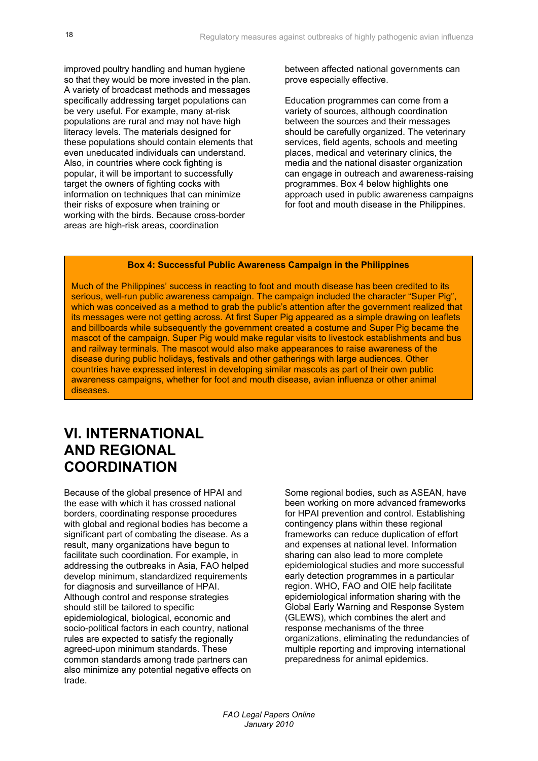improved poultry handling and human hygiene so that they would be more invested in the plan. A variety of broadcast methods and messages specifically addressing target populations can be very useful. For example, many at-risk populations are rural and may not have high literacy levels. The materials designed for these populations should contain elements that even uneducated individuals can understand. Also, in countries where cock fighting is popular, it will be important to successfully target the owners of fighting cocks with information on techniques that can minimize their risks of exposure when training or working with the birds. Because cross-border areas are high-risk areas, coordination

between affected national governments can prove especially effective.

Education programmes can come from a variety of sources, although coordination between the sources and their messages should be carefully organized. The veterinary services, field agents, schools and meeting places, medical and veterinary clinics, the media and the national disaster organization can engage in outreach and awareness-raising programmes. Box 4 below highlights one approach used in public awareness campaigns for foot and mouth disease in the Philippines.

#### **Box 4: Successful Public Awareness Campaign in the Philippines**

Much of the Philippines' success in reacting to foot and mouth disease has been credited to its serious, well-run public awareness campaign. The campaign included the character "Super Pig", which was conceived as a method to grab the public's attention after the government realized that its messages were not getting across. At first Super Pig appeared as a simple drawing on leaflets and billboards while subsequently the government created a costume and Super Pig became the mascot of the campaign. Super Pig would make regular visits to livestock establishments and bus and railway terminals. The mascot would also make appearances to raise awareness of the disease during public holidays, festivals and other gatherings with large audiences. Other countries have expressed interest in developing similar mascots as part of their own public awareness campaigns, whether for foot and mouth disease, avian influenza or other animal diseases.

## **VI. INTERNATIONAL AND REGIONAL COORDINATION**

Because of the global presence of HPAI and the ease with which it has crossed national borders, coordinating response procedures with global and regional bodies has become a significant part of combating the disease. As a result, many organizations have begun to facilitate such coordination. For example, in addressing the outbreaks in Asia, FAO helped develop minimum, standardized requirements for diagnosis and surveillance of HPAI. Although control and response strategies should still be tailored to specific epidemiological, biological, economic and socio-political factors in each country, national rules are expected to satisfy the regionally agreed-upon minimum standards. These common standards among trade partners can also minimize any potential negative effects on trade.

Some regional bodies, such as ASEAN, have been working on more advanced frameworks for HPAI prevention and control. Establishing contingency plans within these regional frameworks can reduce duplication of effort and expenses at national level. Information sharing can also lead to more complete epidemiological studies and more successful early detection programmes in a particular region. WHO, FAO and OIE help facilitate epidemiological information sharing with the Global Early Warning and Response System (GLEWS), which combines the alert and response mechanisms of the three organizations, eliminating the redundancies of multiple reporting and improving international preparedness for animal epidemics.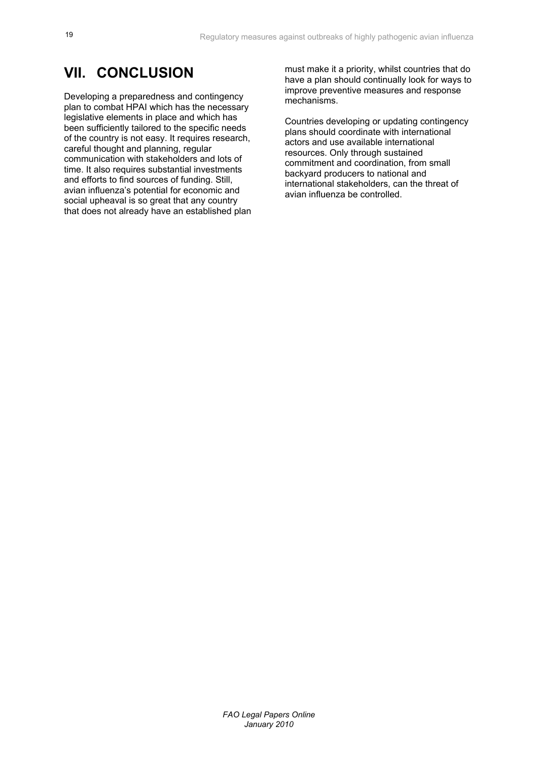## **VII. CONCLUSION**

Developing a preparedness and contingency plan to combat HPAI which has the necessary legislative elements in place and which has been sufficiently tailored to the specific needs of the country is not easy. It requires research, careful thought and planning, regular communication with stakeholders and lots of time. It also requires substantial investments and efforts to find sources of funding. Still, avian influenza's potential for economic and social upheaval is so great that any country that does not already have an established plan must make it a priority, whilst countries that do have a plan should continually look for ways to improve preventive measures and response mechanisms.

Countries developing or updating contingency plans should coordinate with international actors and use available international resources. Only through sustained commitment and coordination, from small backyard producers to national and international stakeholders, can the threat of avian influenza be controlled.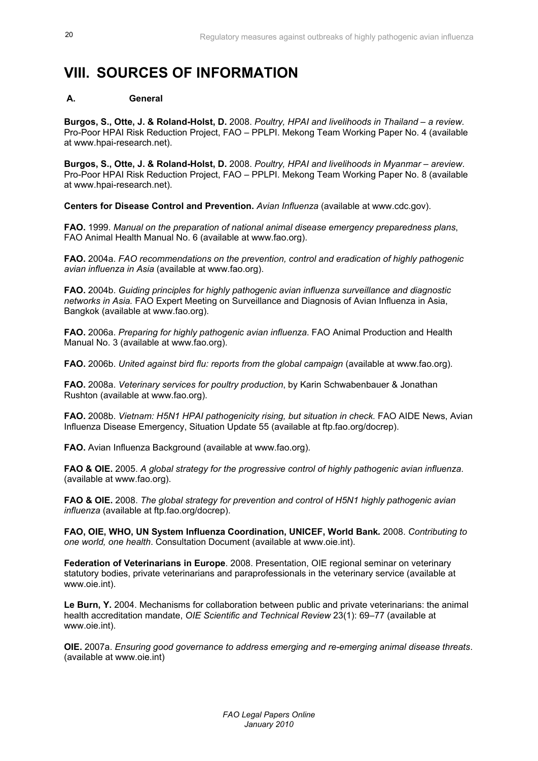# **VIII. SOURCES OF INFORMATION**

## **A. General**

**Burgos, S., Otte, J. & Roland-Holst, D.** 2008. *Poultry, HPAI and livelihoods in Thailand – a review*. Pro-Poor HPAI Risk Reduction Project, FAO – PPLPI. Mekong Team Working Paper No. 4 (available at www.hpai-research.net).

**Burgos, S., Otte, J. & Roland-Holst, D.** 2008. *Poultry, HPAI and livelihoods in Myanmar – areview*. Pro-Poor HPAI Risk Reduction Project, FAO – PPLPI. Mekong Team Working Paper No. 8 (available at www.hpai-research.net).

**Centers for Disease Control and Prevention.** *Avian Influenza* (available at www.cdc.gov).

**FAO.** 1999. *Manual on the preparation of national animal disease emergency preparedness plans*, FAO Animal Health Manual No. 6 (available at www.fao.org).

**FAO.** 2004a. *FAO recommendations on the prevention, control and eradication of highly pathogenic avian influenza in Asia* (available at www.fao.org).

**FAO.** 2004b. *Guiding principles for highly pathogenic avian influenza surveillance and diagnostic networks in Asia.* FAO Expert Meeting on Surveillance and Diagnosis of Avian Influenza in Asia, Bangkok (available at www.fao.org).

**FAO.** 2006a. *Preparing for highly pathogenic avian influenza*. FAO Animal Production and Health Manual No. 3 (available at www.fao.org).

**FAO.** 2006b. *United against bird flu: reports from the global campaign* (available at www.fao.org).

**FAO.** 2008a. *Veterinary services for poultry production*, by Karin Schwabenbauer & Jonathan Rushton (available at www.fao.org).

**FAO.** 2008b. *Vietnam: H5N1 HPAI pathogenicity rising, but situation in check.* FAO AIDE News, Avian Influenza Disease Emergency, Situation Update 55 (available at ftp.fao.org/docrep).

**FAO.** Avian Influenza Background (available at www.fao.org).

**FAO & OIE.** 2005. *A global strategy for the progressive control of highly pathogenic avian influenza*. (available at www.fao.org).

**FAO & OIE.** 2008. *The global strategy for prevention and control of H5N1 highly pathogenic avian influenza* (available at ftp.fao.org/docrep).

**FAO, OIE, WHO, UN System Influenza Coordination, UNICEF, World Bank***.* 2008. *Contributing to one world, one health*. Consultation Document (available at www.oie.int).

**Federation of Veterinarians in Europe**. 2008. Presentation, OIE regional seminar on veterinary statutory bodies, private veterinarians and paraprofessionals in the veterinary service (available at www.oie.int).

**Le Burn, Y.** 2004. Mechanisms for collaboration between public and private veterinarians: the animal health accreditation mandate, *OIE Scientific and Technical Review* 23(1): 69–77 (available at www.oie.int).

**OIE.** 2007a. *Ensuring good governance to address emerging and re-emerging animal disease threats*. (available at www.oie.int)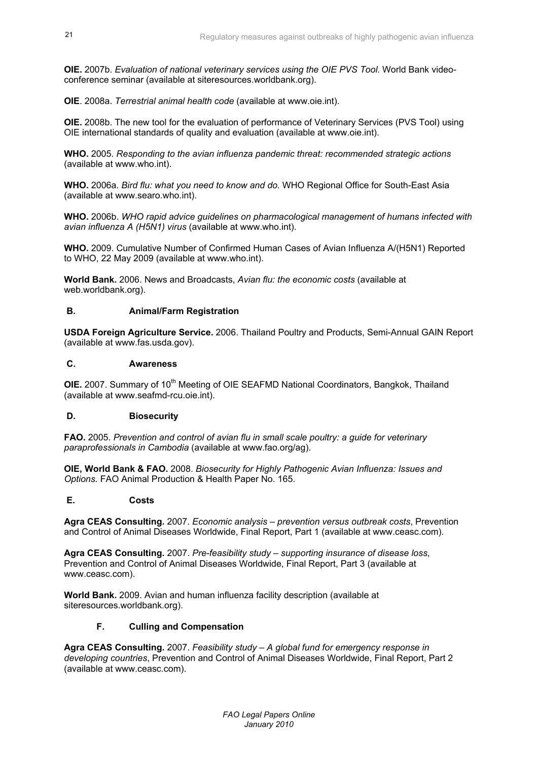**OIE.** 2007b. *Evaluation of national veterinary services using the OIE PVS Tool.* World Bank videoconference seminar (available at siteresources.worldbank.org).

**OIE**. 2008a. *Terrestrial animal health code* (available at www.oie.int).

**OIE.** 2008b. The new tool for the evaluation of performance of Veterinary Services (PVS Tool) using OIE international standards of quality and evaluation (available at www.oie.int).

**WHO.** 2005. *Responding to the avian influenza pandemic threat: recommended strategic actions* (available at www.who.int).

**WHO.** 2006a. *Bird flu: what you need to know and do*. WHO Regional Office for South-East Asia (available at www.searo.who.int).

**WHO.** 2006b. *WHO rapid advice guidelines on pharmacological management of humans infected with avian influenza A (H5N1) virus* (available at www.who.int).

**WHO.** 2009. Cumulative Number of Confirmed Human Cases of Avian Influenza A/(H5N1) Reported to WHO, 22 May 2009 (available at www.who.int).

**World Bank.** 2006. News and Broadcasts, *Avian flu: the economic costs* (available at web.worldbank.org).

## **B. Animal/Farm Registration**

**USDA Foreign Agriculture Service.** 2006. Thailand Poultry and Products, Semi-Annual GAIN Report (available at www.fas.usda.gov).

### **C. Awareness**

**OIE.** 2007. Summary of 10<sup>th</sup> Meeting of OIE SEAFMD National Coordinators, Bangkok, Thailand (available at www.seafmd-rcu.oie.int).

## **D. Biosecurity**

**FAO.** 2005. *Prevention and control of avian flu in small scale poultry: a guide for veterinary paraprofessionals in Cambodia* (available at www.fao.org/ag).

**OIE, World Bank & FAO.** 2008. *Biosecurity for Highly Pathogenic Avian Influenza: Issues and Options.* FAO Animal Production & Health Paper No. 165.

## **E. Costs**

**Agra CEAS Consulting.** 2007. *Economic analysis – prevention versus outbreak costs*, Prevention and Control of Animal Diseases Worldwide, Final Report, Part 1 (available at www.ceasc.com).

**Agra CEAS Consulting.** 2007. *Pre-feasibility study – supporting insurance of disease loss*, Prevention and Control of Animal Diseases Worldwide, Final Report, Part 3 (available at www.ceasc.com).

**World Bank.** 2009. Avian and human influenza facility description (available at siteresources.worldbank.org).

## **F. Culling and Compensation**

**Agra CEAS Consulting.** 2007. *Feasibility study – A global fund for emergency response in developing countries*, Prevention and Control of Animal Diseases Worldwide, Final Report, Part 2 (available at www.ceasc.com).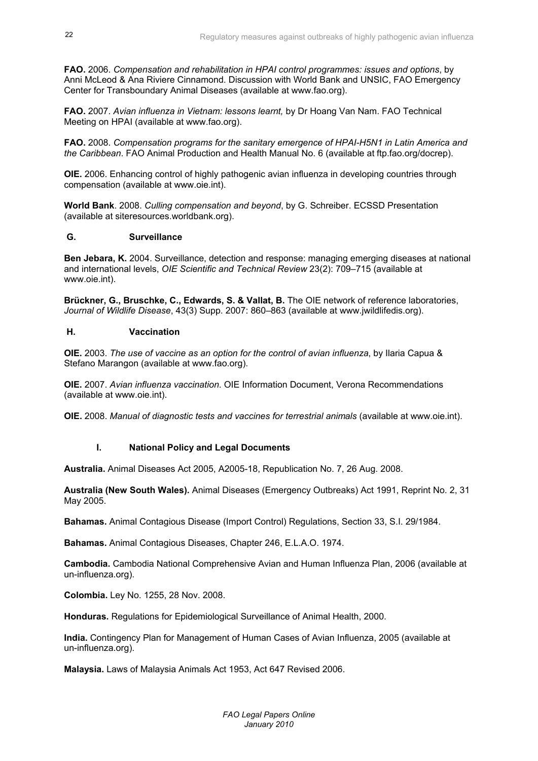**FAO.** 2006. *Compensation and rehabilitation in HPAI control programmes: issues and options*, by Anni McLeod & Ana Riviere Cinnamond. Discussion with World Bank and UNSIC, FAO Emergency Center for Transboundary Animal Diseases (available at www.fao.org).

**FAO.** 2007. *Avian influenza in Vietnam: lessons learnt,* by Dr Hoang Van Nam. FAO Technical Meeting on HPAI (available at www.fao.org).

**FAO.** 2008. *Compensation programs for the sanitary emergence of HPAI-H5N1 in Latin America and the Caribbean*. FAO Animal Production and Health Manual No. 6 (available at ftp.fao.org/docrep).

**OIE.** 2006. Enhancing control of highly pathogenic avian influenza in developing countries through compensation (available at www.oie.int).

**World Bank**. 2008. *Culling compensation and beyond*, by G. Schreiber. ECSSD Presentation (available at siteresources.worldbank.org).

#### **G. Surveillance**

**Ben Jebara, K.** 2004. Surveillance, detection and response: managing emerging diseases at national and international levels, *OIE Scientific and Technical Review* 23(2): 709–715 (available at www.oie.int).

**Brückner, G., Bruschke, C., Edwards, S. & Vallat, B.** The OIE network of reference laboratories, *Journal of Wildlife Disease*, 43(3) Supp. 2007: 860–863 (available at www.jwildlifedis.org).

## **H. Vaccination**

**OIE.** 2003. *The use of vaccine as an option for the control of avian influenza*, by Ilaria Capua & Stefano Marangon (available at www.fao.org).

**OIE.** 2007. *Avian influenza vaccination*. OIE Information Document, Verona Recommendations (available at www.oie.int).

**OIE.** 2008. *Manual of diagnostic tests and vaccines for terrestrial animals* (available at www.oie.int).

## **I. National Policy and Legal Documents**

**Australia.** Animal Diseases Act 2005, A2005-18, Republication No. 7, 26 Aug. 2008.

**Australia (New South Wales).** Animal Diseases (Emergency Outbreaks) Act 1991, Reprint No. 2, 31 May 2005.

**Bahamas.** Animal Contagious Disease (Import Control) Regulations, Section 33, S.I. 29/1984.

**Bahamas.** Animal Contagious Diseases, Chapter 246, E.L.A.O. 1974.

**Cambodia.** Cambodia National Comprehensive Avian and Human Influenza Plan, 2006 (available at un-influenza.org).

**Colombia.** Ley No. 1255, 28 Nov. 2008.

**Honduras.** Regulations for Epidemiological Surveillance of Animal Health, 2000.

**India.** Contingency Plan for Management of Human Cases of Avian Influenza, 2005 (available at un-influenza.org).

**Malaysia.** Laws of Malaysia Animals Act 1953, Act 647 Revised 2006.